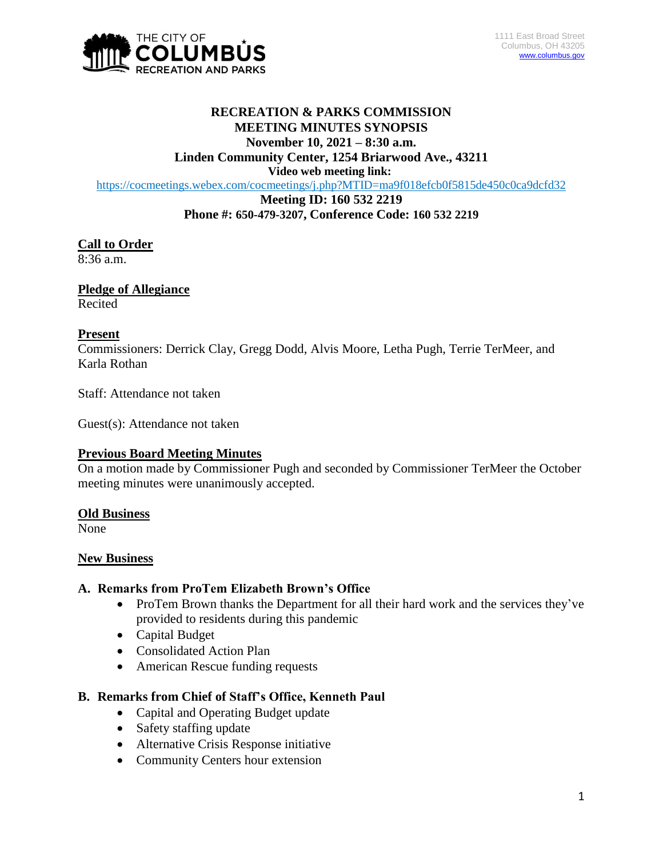

# **RECREATION & PARKS COMMISSION MEETING MINUTES SYNOPSIS November 10, 2021 – 8:30 a.m.**

**Linden Community Center, 1254 Briarwood Ave., 43211**

**Video web meeting link:**

<https://cocmeetings.webex.com/cocmeetings/j.php?MTID=ma9f018efcb0f5815de450c0ca9dcfd32>

#### **Meeting ID: 160 532 2219 Phone #: 650-479-3207, Conference Code: 160 532 2219**

## **Call to Order**

8:36 a.m.

## **Pledge of Allegiance**

Recited

## **Present**

Commissioners: Derrick Clay, Gregg Dodd, Alvis Moore, Letha Pugh, Terrie TerMeer, and Karla Rothan

Staff: Attendance not taken

Guest(s): Attendance not taken

#### **Previous Board Meeting Minutes**

On a motion made by Commissioner Pugh and seconded by Commissioner TerMeer the October meeting minutes were unanimously accepted.

## **Old Business**

None

#### **New Business**

#### **A. Remarks from ProTem Elizabeth Brown's Office**

- ProTem Brown thanks the Department for all their hard work and the services they've provided to residents during this pandemic
- Capital Budget
- Consolidated Action Plan
- American Rescue funding requests

## **B. Remarks from Chief of Staff's Office, Kenneth Paul**

- Capital and Operating Budget update
- Safety staffing update
- Alternative Crisis Response initiative
- Community Centers hour extension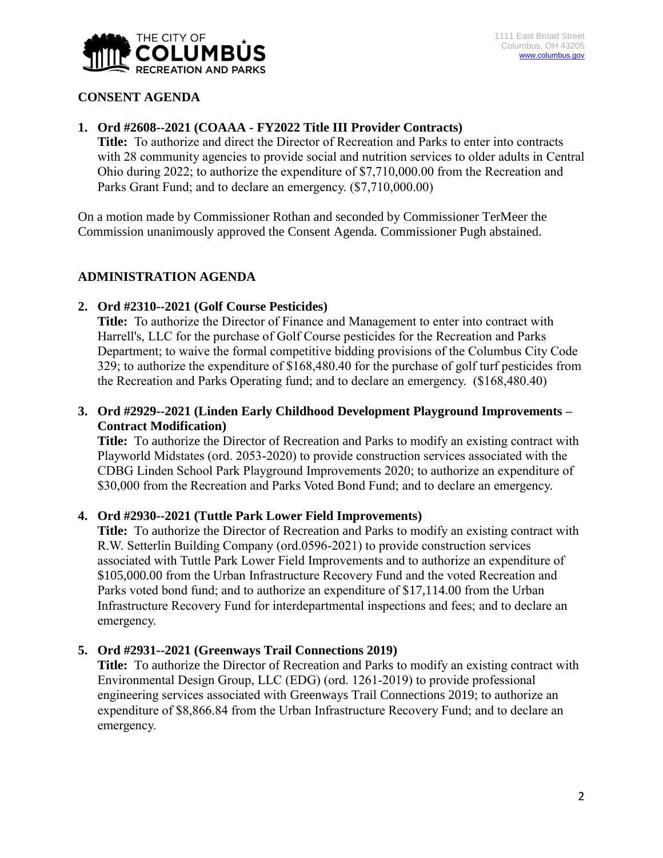

## **CONSENT AGENDA**

#### **1. Ord #2608--2021 (COAAA - FY2022 Title III Provider Contracts)**

**Title:** To authorize and direct the Director of Recreation and Parks to enter into contracts with 28 community agencies to provide social and nutrition services to older adults in Central Ohio during 2022; to authorize the expenditure of \$7,710,000.00 from the Recreation and Parks Grant Fund; and to declare an emergency. (\$7,710,000.00)

On a motion made by Commissioner Rothan and seconded by Commissioner TerMeer the Commission unanimously approved the Consent Agenda. Commissioner Pugh abstained.

## **ADMINISTRATION AGENDA**

#### **2. Ord #2310--2021 (Golf Course Pesticides)**

**Title:** To authorize the Director of Finance and Management to enter into contract with Harrell's, LLC for the purchase of Golf Course pesticides for the Recreation and Parks Department; to waive the formal competitive bidding provisions of the Columbus City Code 329; to authorize the expenditure of \$168,480.40 for the purchase of golf turf pesticides from the Recreation and Parks Operating fund; and to declare an emergency. (\$168,480.40)

## **3. Ord #2929--2021 (Linden Early Childhood Development Playground Improvements – Contract Modification)**

**Title:** To authorize the Director of Recreation and Parks to modify an existing contract with Playworld Midstates (ord. 2053-2020) to provide construction services associated with the CDBG Linden School Park Playground Improvements 2020; to authorize an expenditure of \$30,000 from the Recreation and Parks Voted Bond Fund; and to declare an emergency.

#### **4. Ord #2930--2021 (Tuttle Park Lower Field Improvements)**

**Title:** To authorize the Director of Recreation and Parks to modify an existing contract with R.W. Setterlin Building Company (ord.0596-2021) to provide construction services associated with Tuttle Park Lower Field Improvements and to authorize an expenditure of \$105,000.00 from the Urban Infrastructure Recovery Fund and the voted Recreation and Parks voted bond fund; and to authorize an expenditure of \$17,114.00 from the Urban Infrastructure Recovery Fund for interdepartmental inspections and fees; and to declare an emergency.

#### **5. Ord #2931--2021 (Greenways Trail Connections 2019)**

**Title:** To authorize the Director of Recreation and Parks to modify an existing contract with Environmental Design Group, LLC (EDG) (ord. 1261-2019) to provide professional engineering services associated with Greenways Trail Connections 2019; to authorize an expenditure of \$8,866.84 from the Urban Infrastructure Recovery Fund; and to declare an emergency.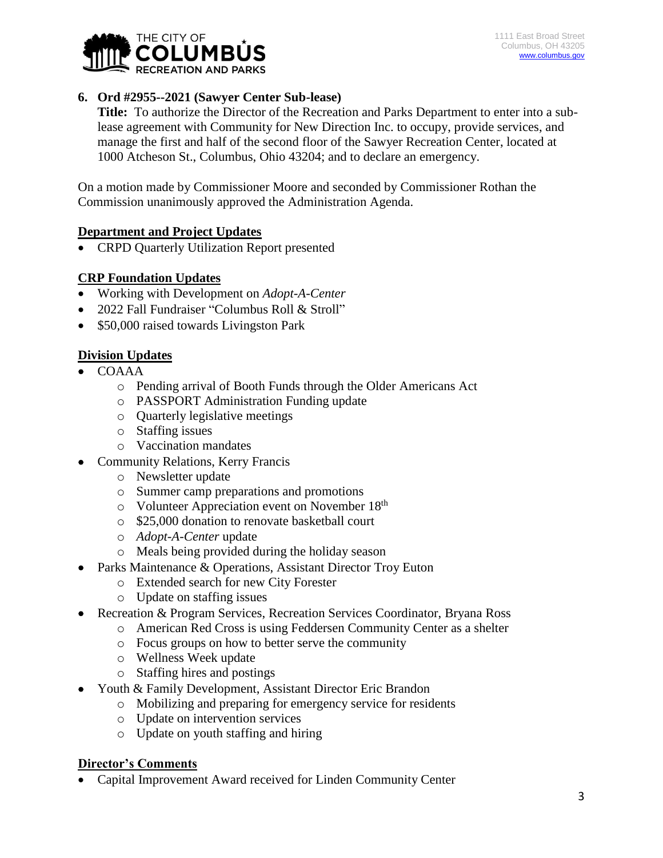

## **6. Ord #2955--2021 (Sawyer Center Sub-lease)**

**Title:** To authorize the Director of the Recreation and Parks Department to enter into a sublease agreement with Community for New Direction Inc. to occupy, provide services, and manage the first and half of the second floor of the Sawyer Recreation Center, located at 1000 Atcheson St., Columbus, Ohio 43204; and to declare an emergency.

On a motion made by Commissioner Moore and seconded by Commissioner Rothan the Commission unanimously approved the Administration Agenda.

## **Department and Project Updates**

• CRPD Quarterly Utilization Report presented

## **CRP Foundation Updates**

- Working with Development on *Adopt-A-Center*
- 2022 Fall Fundraiser "Columbus Roll & Stroll"
- \$50,000 raised towards Livingston Park

## **Division Updates**

- COAAA
	- o Pending arrival of Booth Funds through the Older Americans Act
	- o PASSPORT Administration Funding update
	- o Quarterly legislative meetings
	- o Staffing issues
	- o Vaccination mandates
- Community Relations, Kerry Francis
	- o Newsletter update
	- o Summer camp preparations and promotions
	- o Volunteer Appreciation event on November 18th
	- o \$25,000 donation to renovate basketball court
	- o *Adopt-A-Center* update
	- o Meals being provided during the holiday season
- Parks Maintenance & Operations, Assistant Director Troy Euton
	- o Extended search for new City Forester
	- o Update on staffing issues
- Recreation & Program Services, Recreation Services Coordinator, Bryana Ross
	- o American Red Cross is using Feddersen Community Center as a shelter
	- o Focus groups on how to better serve the community
	- o Wellness Week update
	- o Staffing hires and postings
- Youth & Family Development, Assistant Director Eric Brandon
	- o Mobilizing and preparing for emergency service for residents
	- o Update on intervention services
	- o Update on youth staffing and hiring

## **Director's Comments**

Capital Improvement Award received for Linden Community Center